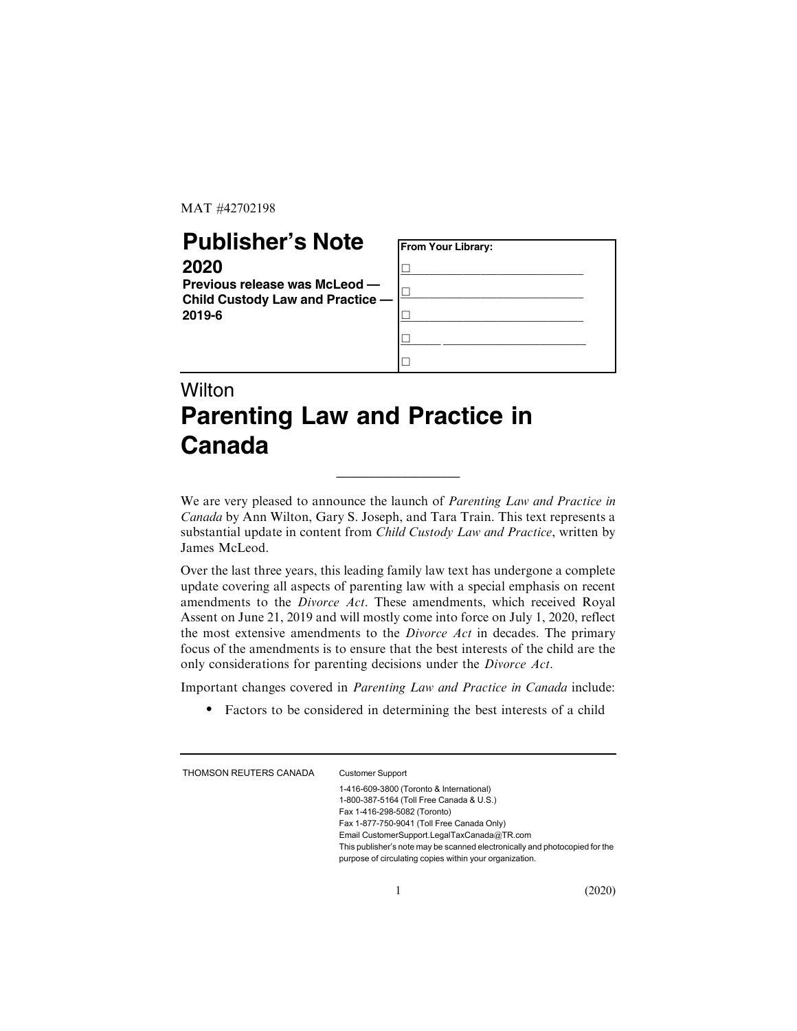MAT #42702198

## **Publisher's Note**

## **2020**

**Previous release was McLeod — Child Custody Law and Practice — 2019-6**



## **Wilton Parenting Law and Practice in Canada**

We are very pleased to announce the launch of Parenting Law and Practice in Canada by Ann Wilton, Gary S. Joseph, and Tara Train. This text represents a substantial update in content from Child Custody Law and Practice, written by James McLeod.

\_\_\_\_\_\_\_\_\_\_\_\_\_\_\_\_\_\_\_

Over the last three years, this leading family law text has undergone a complete update covering all aspects of parenting law with a special emphasis on recent amendments to the Divorce Act. These amendments, which received Royal Assent on June 21, 2019 and will mostly come into force on July 1, 2020, reflect the most extensive amendments to the Divorce Act in decades. The primary focus of the amendments is to ensure that the best interests of the child are the only considerations for parenting decisions under the Divorce Act.

Important changes covered in Parenting Law and Practice in Canada include:

. Factors to be considered in determining the best interests of a child

| THOMSON REUTERS CANADA | <b>Customer Support</b>                                                     |
|------------------------|-----------------------------------------------------------------------------|
|                        | 1-416-609-3800 (Toronto & International)                                    |
|                        | 1-800-387-5164 (Toll Free Canada & U.S.)                                    |
|                        | Fax 1-416-298-5082 (Toronto)                                                |
|                        | Fax 1-877-750-9041 (Toll Free Canada Only)                                  |
|                        | Email CustomerSupport.LegalTaxCanada@TR.com                                 |
|                        | This publisher's note may be scanned electronically and photocopied for the |
|                        | purpose of circulating copies within your organization.                     |